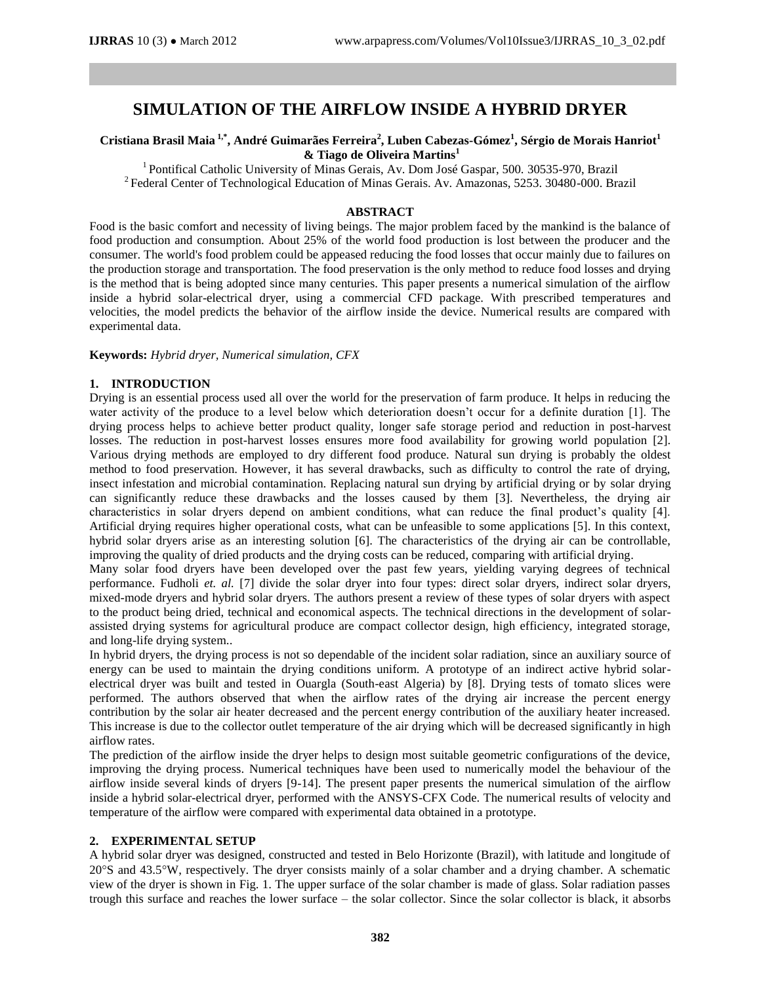# **SIMULATION OF THE AIRFLOW INSIDE A HYBRID DRYER**

# **Cristiana Brasil Maia 1,\* , André Guimarães Ferreira<sup>2</sup> , Luben Cabezas-Gómez<sup>1</sup> , Sérgio de Morais Hanriot<sup>1</sup> & Tiago de Oliveira Martins<sup>1</sup>**

<sup>1</sup> Pontifical Catholic University of Minas Gerais, Av. Dom José Gaspar, 500. 30535-970, Brazil <sup>2</sup> Federal Center of Technological Education of Minas Gerais. Av. Amazonas, 5253. 30480-000. Brazil

#### **ABSTRACT**

Food is the basic comfort and necessity of living beings. The major problem faced by the mankind is the balance of food production and consumption. About 25% of the world food production is lost between the producer and the consumer. The world's food problem could be appeased reducing the food losses that occur mainly due to failures on the production storage and transportation. The food preservation is the only method to reduce food losses and drying is the method that is being adopted since many centuries. This paper presents a numerical simulation of the airflow inside a hybrid solar-electrical dryer, using a commercial CFD package. With prescribed temperatures and velocities, the model predicts the behavior of the airflow inside the device. Numerical results are compared with experimental data.

**Keywords:** *Hybrid dryer, Numerical simulation, CFX*

#### **1. INTRODUCTION**

Drying is an essential process used all over the world for the preservation of farm produce. It helps in reducing the water activity of the produce to a level below which deterioration doesn't occur for a definite duration [1]. The drying process helps to achieve better product quality, longer safe storage period and reduction in post-harvest losses. The reduction in post-harvest losses ensures more food availability for growing world population [2]. Various drying methods are employed to dry different food produce. Natural sun drying is probably the oldest method to food preservation. However, it has several drawbacks, such as difficulty to control the rate of drying, insect infestation and microbial contamination. Replacing natural sun drying by artificial drying or by solar drying can significantly reduce these drawbacks and the losses caused by them [3]. Nevertheless, the drying air characteristics in solar dryers depend on ambient conditions, what can reduce the final product's quality [4]. Artificial drying requires higher operational costs, what can be unfeasible to some applications [5]. In this context, hybrid solar dryers arise as an interesting solution [6]. The characteristics of the drying air can be controllable, improving the quality of dried products and the drying costs can be reduced, comparing with artificial drying.

Many solar food dryers have been developed over the past few years, yielding varying degrees of technical performance. Fudholi *et. al.* [7] divide the solar dryer into four types: direct solar dryers, indirect solar dryers, mixed-mode dryers and hybrid solar dryers. The authors present a review of these types of solar dryers with aspect to the product being dried, technical and economical aspects. The technical directions in the development of solarassisted drying systems for agricultural produce are compact collector design, high efficiency, integrated storage, and long-life drying system..

In hybrid dryers, the drying process is not so dependable of the incident solar radiation, since an auxiliary source of energy can be used to maintain the drying conditions uniform. A prototype of an indirect active hybrid solarelectrical dryer was built and tested in Ouargla (South-east Algeria) by [8]. Drying tests of tomato slices were performed. The authors observed that when the airflow rates of the drying air increase the percent energy contribution by the solar air heater decreased and the percent energy contribution of the auxiliary heater increased. This increase is due to the collector outlet temperature of the air drying which will be decreased significantly in high airflow rates.

The prediction of the airflow inside the dryer helps to design most suitable geometric configurations of the device, improving the drying process. Numerical techniques have been used to numerically model the behaviour of the airflow inside several kinds of dryers [9-14]. The present paper presents the numerical simulation of the airflow inside a hybrid solar-electrical dryer, performed with the ANSYS-CFX Code. The numerical results of velocity and temperature of the airflow were compared with experimental data obtained in a prototype.

# **2. EXPERIMENTAL SETUP**

A hybrid solar dryer was designed, constructed and tested in Belo Horizonte (Brazil), with latitude and longitude of 20S and 43.5W, respectively. The dryer consists mainly of a solar chamber and a drying chamber. A schematic view of the dryer is shown in Fig. 1. The upper surface of the solar chamber is made of glass. Solar radiation passes trough this surface and reaches the lower surface – the solar collector. Since the solar collector is black, it absorbs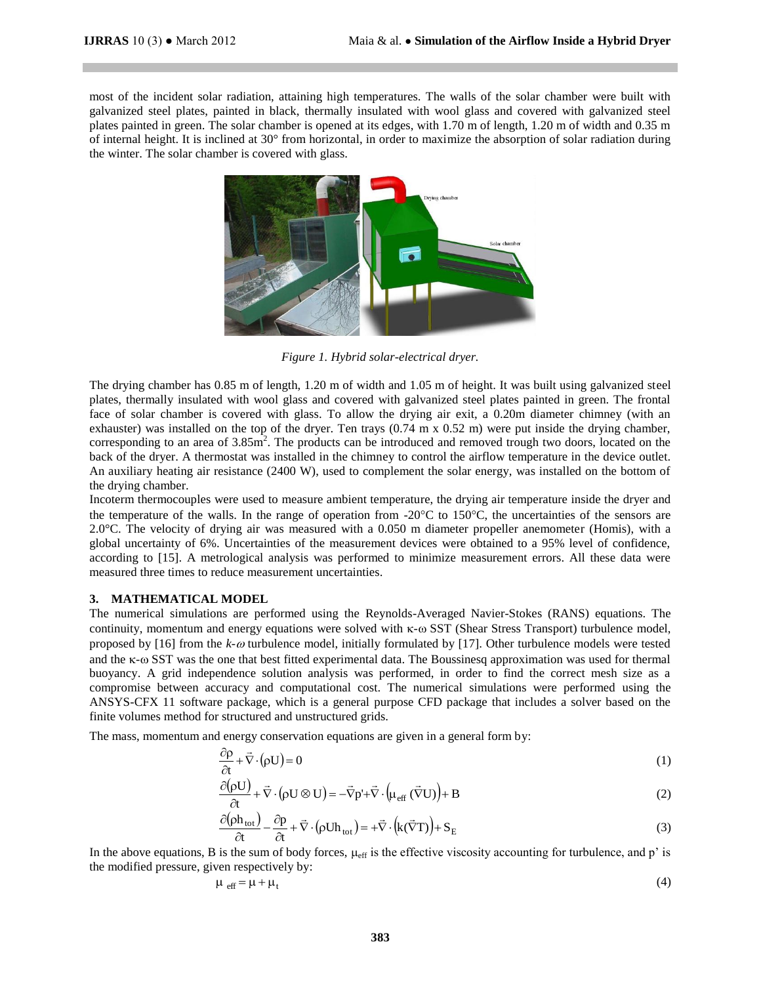most of the incident solar radiation, attaining high temperatures. The walls of the solar chamber were built with galvanized steel plates, painted in black, thermally insulated with wool glass and covered with galvanized steel plates painted in green. The solar chamber is opened at its edges, with 1.70 m of length, 1.20 m of width and 0.35 m of internal height. It is inclined at 30° from horizontal, in order to maximize the absorption of solar radiation during the winter. The solar chamber is covered with glass.



*Figure 1. Hybrid solar-electrical dryer.*

The drying chamber has 0.85 m of length, 1.20 m of width and 1.05 m of height. It was built using galvanized steel plates, thermally insulated with wool glass and covered with galvanized steel plates painted in green. The frontal face of solar chamber is covered with glass. To allow the drying air exit, a 0.20m diameter chimney (with an exhauster) was installed on the top of the dryer. Ten trays (0.74 m x 0.52 m) were put inside the drying chamber, corresponding to an area of  $3.85 \text{m}^2$ . The products can be introduced and removed trough two doors, located on the back of the dryer. A thermostat was installed in the chimney to control the airflow temperature in the device outlet. An auxiliary heating air resistance (2400 W), used to complement the solar energy, was installed on the bottom of the drying chamber.

Incoterm thermocouples were used to measure ambient temperature, the drying air temperature inside the dryer and the temperature of the walls. In the range of operation from  $-20^{\circ}$ C to 150 $^{\circ}$ C, the uncertainties of the sensors are 2.0°C. The velocity of drying air was measured with a 0.050 m diameter propeller anemometer (Homis), with a global uncertainty of 6%. Uncertainties of the measurement devices were obtained to a 95% level of confidence, according to [15]. A metrological analysis was performed to minimize measurement errors. All these data were measured three times to reduce measurement uncertainties.

#### **3. MATHEMATICAL MODEL**

The numerical simulations are performed using the Reynolds-Averaged Navier-Stokes (RANS) equations. The continuity, momentum and energy equations were solved with  $\kappa$ - $\omega$  SST (Shear Stress Transport) turbulence model, proposed by  $[16]$  from the  $k-\omega$  turbulence model, initially formulated by [17]. Other turbulence models were tested and the  $\kappa$ - $\omega$  SST was the one that best fitted experimental data. The Boussinesq approximation was used for thermal buoyancy. A grid independence solution analysis was performed, in order to find the correct mesh size as a compromise between accuracy and computational cost. The numerical simulations were performed using the ANSYS-CFX 11 software package, which is a general purpose CFD package that includes a solver based on the finite volumes method for structured and unstructured grids.

The mass, momentum and energy conservation equations are given in a general form by:

$$
\frac{\partial \rho}{\partial t} + \vec{\nabla} \cdot (\rho U) = 0 \tag{1}
$$

$$
\frac{\partial(\rho U)}{\partial t} + \vec{\nabla} \cdot (\rho U \otimes U) = -\vec{\nabla} p' + \vec{\nabla} \cdot \left(\mu_{\text{eff}} (\vec{\nabla} U)\right) + B \tag{2}
$$

$$
\frac{\partial (\rho h_{\text{tot}})}{\partial t} - \frac{\partial p}{\partial t} + \vec{\nabla} \cdot (\rho U h_{\text{tot}}) = + \vec{\nabla} \cdot (k(\vec{\nabla} T)) + S_E
$$
\n(3)

In the above equations, B is the sum of body forces,  $\mu_{\text{eff}}$  is the effective viscosity accounting for turbulence, and p' is the modified pressure, given respectively by:

$$
\mu_{\text{eff}} = \mu + \mu_t \tag{4}
$$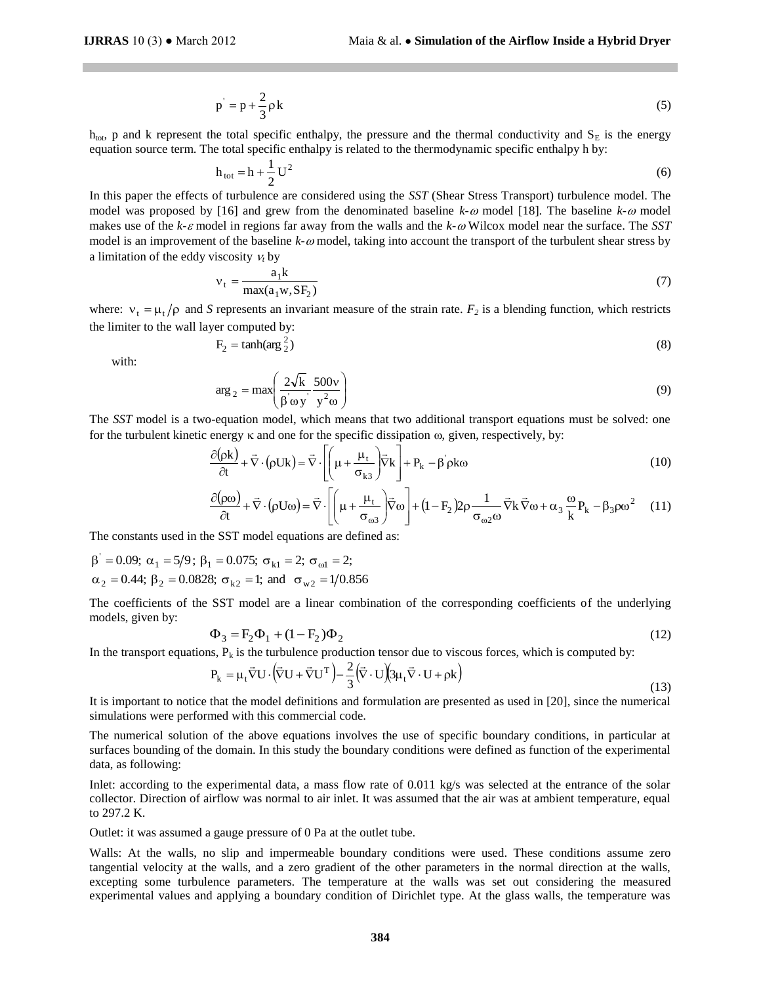$$
p' = p + \frac{2}{3}\rho k \tag{5}
$$

 $h_{\text{tot}}$ , p and k represent the total specific enthalpy, the pressure and the thermal conductivity and  $S_E$  is the energy equation source term. The total specific enthalpy is related to the thermodynamic specific enthalpy h by:

$$
h_{\text{tot}} = h + \frac{1}{2} U^2
$$
 (6)

k<br>
ific enthalpy, the press<br>
ic enthalpy is related to<br>
U<sup>2</sup><br>
2 are considered using<br>
ew from the denomining<br>
far away from the wale k- $\omega$  model, taking<br>  $\frac{1}{1}$ <br>  $\frac{1}{1}$ <br>  $\frac{1}{1}$ <br>  $\frac{1}{1}$ <br>  $\frac{1}{1}$ <br>  $\frac{1}{1}$ <br> In this paper the effects of turbulence are considered using the *SST* (Shear Stress Transport) turbulence model. The model was proposed by [16] and grew from the denominated baseline  $k-\omega$  model [18]. The baseline  $k-\omega$  model makes use of the *k-c* model in regions far away from the walls and the *k-* Wilcox model near the surface. The *SST* model is an improvement of the baseline *k-*  $\omega$  model, taking into account the transport of the turbulent shear stress by a limitation of the eddy viscosity  $v_t$  by

$$
v_t = \frac{a_1 k}{\max(a_1 w, S F_2)}\tag{7}
$$

where:  $v_t = \mu_t / \rho$  and *S* represents an invariant measure of the strain rate.  $F_2$  is a blending function, which restricts the limiter to the wall layer computed by:

$$
F_2 = \tanh(\arg\frac{2}{2})\tag{8}
$$

with:

$$
\arg_2 = \max\left(\frac{2\sqrt{k}}{\beta \omega y} \frac{500v}{y^2 \omega}\right) \tag{9}
$$

The *SST* model is a two-equation model, which means that two additional transport equations must be solved: one for the turbulent kinetic energy  $\kappa$  and one for the specific dissipation  $\omega$ , given, respectively, by:

$$
\frac{\partial(\rho k)}{\partial t} + \vec{\nabla} \cdot (\rho U k) = \vec{\nabla} \cdot \left[ \left( \mu + \frac{\mu_t}{\sigma_{k3}} \right) \vec{\nabla} k \right] + P_k - \beta \rho k \omega \tag{10}
$$

$$
\frac{\partial(\rho\omega)}{\partial t} + \vec{\nabla} \cdot (\rho U \omega) = \vec{\nabla} \cdot \left[ \left( \mu + \frac{\mu_t}{\sigma_{\omega 3}} \right) \vec{\nabla} \omega \right] + (1 - F_2) 2\rho \frac{1}{\sigma_{\omega 2} \omega} \vec{\nabla} \cdot \vec{\nabla} \omega + \alpha_3 \frac{\omega}{k} P_k - \beta_3 \rho \omega^2 \quad (11)
$$

The constants used in the SST model equations are defined as:

 $\alpha_2 = 0.44; \ \beta_2 = 0.0828; \ \sigma_{k2} = 1; \ \text{and} \ \ \sigma_{w2} = 1/0.856$  $\beta' = 0.09; \ \alpha_1 = 5/9; \ \beta_1 = 0.075; \ \sigma_{k1} = 2; \ \sigma_{\omega 1} = 2;$ 

The coefficients of the SST model are a linear combination of the corresponding coefficients of the underlying models, given by:

$$
\Phi_3 = F_2 \Phi_1 + (1 - F_2) \Phi_2 \tag{12}
$$

In the transport equations,  $P_k$  is the turbulence production tensor due to viscous forces, which is computed by:

$$
P_{k} = \mu_{t} \vec{\nabla} U \cdot (\vec{\nabla} U + \vec{\nabla} U^{T}) - \frac{2}{3} (\vec{\nabla} \cdot U) (3\mu_{t} \vec{\nabla} \cdot U + \rho k)
$$
\n(13)

It is important to notice that the model definitions and formulation are presented as used in [20], since the numerical simulations were performed with this commercial code.

The numerical solution of the above equations involves the use of specific boundary conditions, in particular at surfaces bounding of the domain. In this study the boundary conditions were defined as function of the experimental data, as following:

Inlet: according to the experimental data, a mass flow rate of 0.011 kg/s was selected at the entrance of the solar collector. Direction of airflow was normal to air inlet. It was assumed that the air was at ambient temperature, equal to 297.2 K.

Outlet: it was assumed a gauge pressure of 0 Pa at the outlet tube.

Walls: At the walls, no slip and impermeable boundary conditions were used. These conditions assume zero tangential velocity at the walls, and a zero gradient of the other parameters in the normal direction at the walls, excepting some turbulence parameters. The temperature at the walls was set out considering the measured experimental values and applying a boundary condition of Dirichlet type. At the glass walls, the temperature was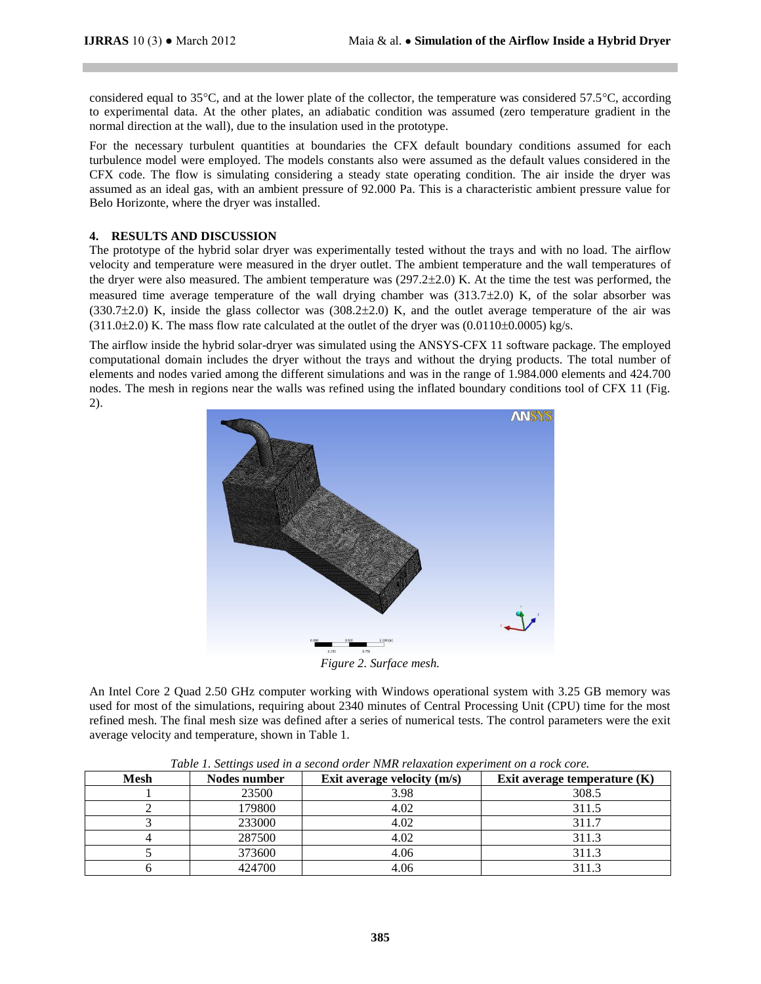considered equal to 35 $^{\circ}$ C, and at the lower plate of the collector, the temperature was considered 57.5 $^{\circ}$ C, according to experimental data. At the other plates, an adiabatic condition was assumed (zero temperature gradient in the normal direction at the wall), due to the insulation used in the prototype.

For the necessary turbulent quantities at boundaries the CFX default boundary conditions assumed for each turbulence model were employed. The models constants also were assumed as the default values considered in the CFX code. The flow is simulating considering a steady state operating condition. The air inside the dryer was assumed as an ideal gas, with an ambient pressure of 92.000 Pa. This is a characteristic ambient pressure value for Belo Horizonte, where the dryer was installed.

#### **4. RESULTS AND DISCUSSION**

The prototype of the hybrid solar dryer was experimentally tested without the trays and with no load. The airflow velocity and temperature were measured in the dryer outlet. The ambient temperature and the wall temperatures of the dryer were also measured. The ambient temperature was (297.22.0) K. At the time the test was performed, the measured time average temperature of the wall drying chamber was  $(313.7\pm 2.0)$  K, of the solar absorber was  $(330.7\pm2.0)$  K, inside the glass collector was  $(308.2\pm2.0)$  K, and the outlet average temperature of the air was  $(311.0\pm2.0)$  K. The mass flow rate calculated at the outlet of the dryer was  $(0.0110\pm0.0005)$  kg/s.

The airflow inside the hybrid solar-dryer was simulated using the ANSYS-CFX 11 software package. The employed computational domain includes the dryer without the trays and without the drying products. The total number of elements and nodes varied among the different simulations and was in the range of 1.984.000 elements and 424.700 nodes. The mesh in regions near the walls was refined using the inflated boundary conditions tool of CFX 11 (Fig. 2).



*Figure 2. Surface mesh.*

An Intel Core 2 Quad 2.50 GHz computer working with Windows operational system with 3.25 GB memory was used for most of the simulations, requiring about 2340 minutes of Central Processing Unit (CPU) time for the most refined mesh. The final mesh size was defined after a series of numerical tests. The control parameters were the exit average velocity and temperature, shown in Table 1.

| <b>Mesh</b> | Nodes number | Exit average velocity $(m/s)$ | Exit average temperature $(K)$ |
|-------------|--------------|-------------------------------|--------------------------------|
|             | 23500        | 3.98                          | 308.5                          |
|             | 179800       | 4.02                          | 311.5                          |
|             | 233000       | 4.02                          | 311.7                          |
|             | 287500       | 4.02                          | 311.3                          |
|             | 373600       | 4.06                          | 311.3                          |
|             | 424700       | 4.06                          | 3113                           |

*Table 1. Settings used in a second order NMR relaxation experiment on a rock core.*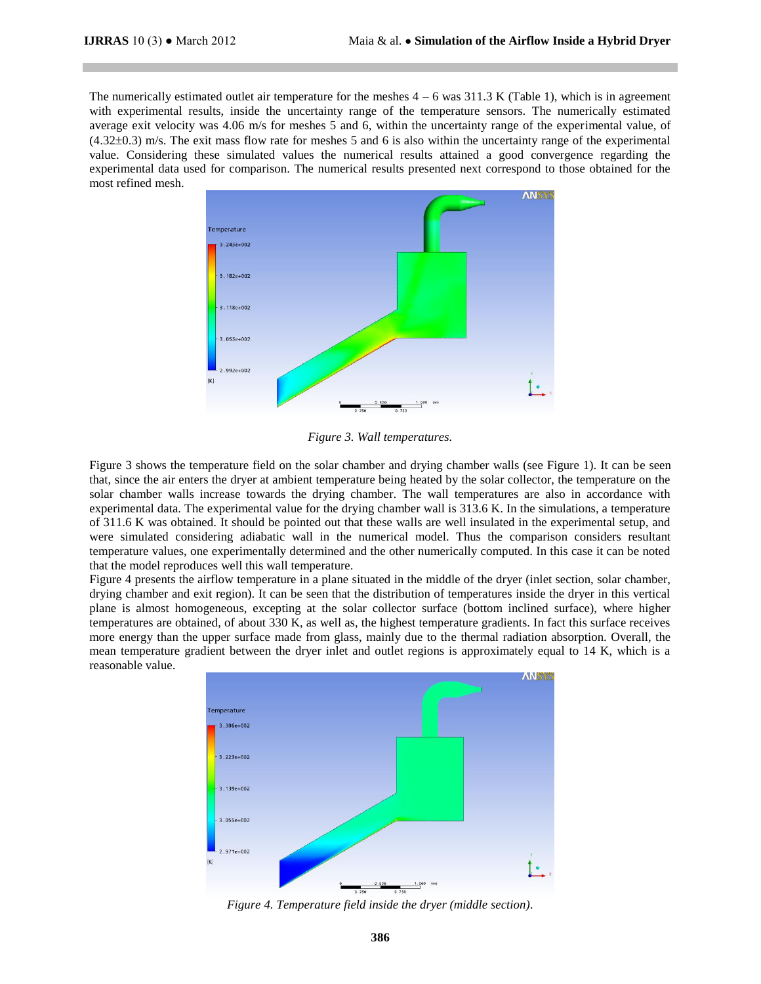The numerically estimated outlet air temperature for the meshes  $4 - 6$  was  $311.3$  K (Table 1), which is in agreement with experimental results, inside the uncertainty range of the temperature sensors. The numerically estimated average exit velocity was 4.06 m/s for meshes 5 and 6, within the uncertainty range of the experimental value, of  $(4.32\pm0.3)$  m/s. The exit mass flow rate for meshes 5 and 6 is also within the uncertainty range of the experimental value. Considering these simulated values the numerical results attained a good convergence regarding the experimental data used for comparison. The numerical results presented next correspond to those obtained for the most refined mesh.



*Figure 3. Wall temperatures.*

Figure 3 shows the temperature field on the solar chamber and drying chamber walls (see Figure 1). It can be seen that, since the air enters the dryer at ambient temperature being heated by the solar collector, the temperature on the solar chamber walls increase towards the drying chamber. The wall temperatures are also in accordance with experimental data. The experimental value for the drying chamber wall is 313.6 K. In the simulations, a temperature of 311.6 K was obtained. It should be pointed out that these walls are well insulated in the experimental setup, and were simulated considering adiabatic wall in the numerical model. Thus the comparison considers resultant temperature values, one experimentally determined and the other numerically computed. In this case it can be noted that the model reproduces well this wall temperature.

Figure 4 presents the airflow temperature in a plane situated in the middle of the dryer (inlet section, solar chamber, drying chamber and exit region). It can be seen that the distribution of temperatures inside the dryer in this vertical plane is almost homogeneous, excepting at the solar collector surface (bottom inclined surface), where higher temperatures are obtained, of about 330 K, as well as, the highest temperature gradients. In fact this surface receives more energy than the upper surface made from glass, mainly due to the thermal radiation absorption. Overall, the mean temperature gradient between the dryer inlet and outlet regions is approximately equal to 14 K, which is a reasonable value.



*Figure 4. Temperature field inside the dryer (middle section).*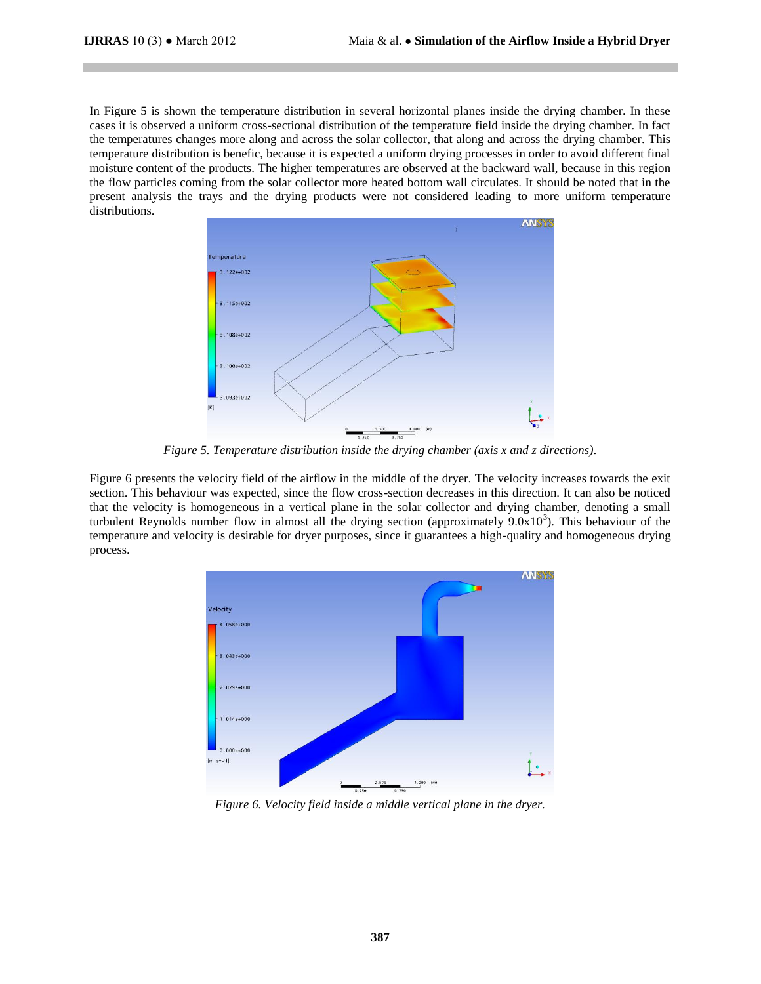In Figure 5 is shown the temperature distribution in several horizontal planes inside the drying chamber. In these cases it is observed a uniform cross-sectional distribution of the temperature field inside the drying chamber. In fact the temperatures changes more along and across the solar collector, that along and across the drying chamber. This temperature distribution is benefic, because it is expected a uniform drying processes in order to avoid different final moisture content of the products. The higher temperatures are observed at the backward wall, because in this region the flow particles coming from the solar collector more heated bottom wall circulates. It should be noted that in the present analysis the trays and the drying products were not considered leading to more uniform temperature distributions.



*Figure 5. Temperature distribution inside the drying chamber (axis x and z directions).*

Figure 6 presents the velocity field of the airflow in the middle of the dryer. The velocity increases towards the exit section. This behaviour was expected, since the flow cross-section decreases in this direction. It can also be noticed that the velocity is homogeneous in a vertical plane in the solar collector and drying chamber, denoting a small turbulent Reynolds number flow in almost all the drying section (approximately  $9.0x10<sup>3</sup>$ ). This behaviour of the temperature and velocity is desirable for dryer purposes, since it guarantees a high-quality and homogeneous drying process.



*Figure 6. Velocity field inside a middle vertical plane in the dryer.*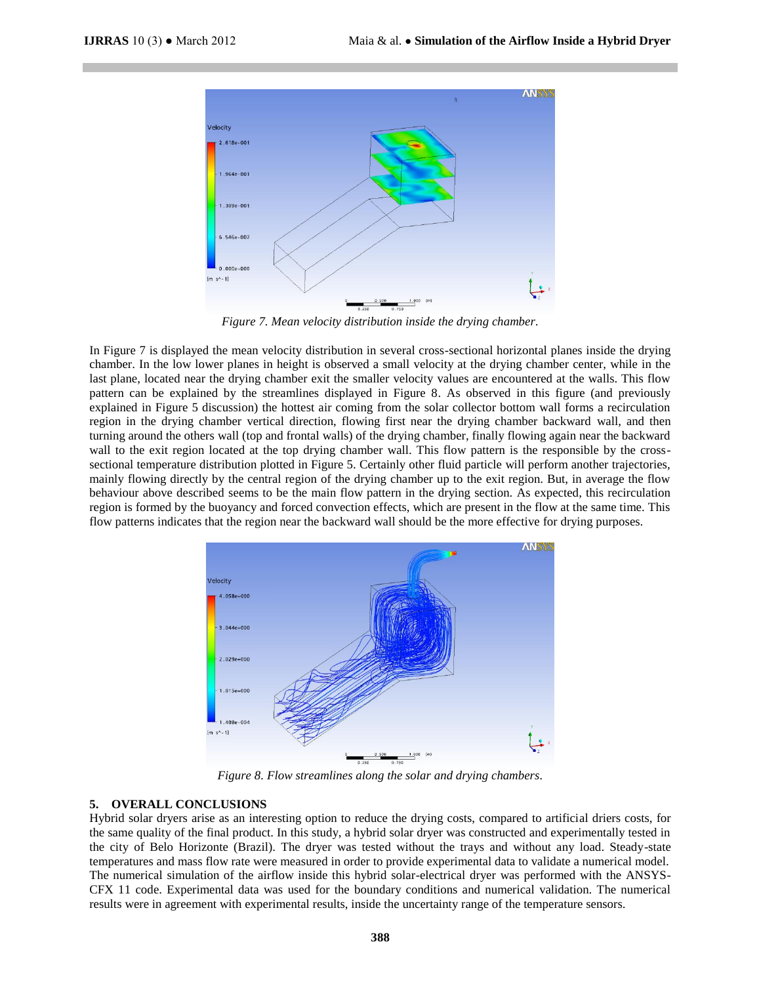

*Figure 7. Mean velocity distribution inside the drying chamber.*

In Figure 7 is displayed the mean velocity distribution in several cross-sectional horizontal planes inside the drying chamber. In the low lower planes in height is observed a small velocity at the drying chamber center, while in the last plane, located near the drying chamber exit the smaller velocity values are encountered at the walls. This flow pattern can be explained by the streamlines displayed in Figure 8. As observed in this figure (and previously explained in Figure 5 discussion) the hottest air coming from the solar collector bottom wall forms a recirculation region in the drying chamber vertical direction, flowing first near the drying chamber backward wall, and then turning around the others wall (top and frontal walls) of the drying chamber, finally flowing again near the backward wall to the exit region located at the top drying chamber wall. This flow pattern is the responsible by the crosssectional temperature distribution plotted in Figure 5. Certainly other fluid particle will perform another trajectories, mainly flowing directly by the central region of the drying chamber up to the exit region. But, in average the flow behaviour above described seems to be the main flow pattern in the drying section. As expected, this recirculation region is formed by the buoyancy and forced convection effects, which are present in the flow at the same time. This flow patterns indicates that the region near the backward wall should be the more effective for drying purposes.



*Figure 8. Flow streamlines along the solar and drying chambers.*

#### **5. OVERALL CONCLUSIONS**

Hybrid solar dryers arise as an interesting option to reduce the drying costs, compared to artificial driers costs, for the same quality of the final product. In this study, a hybrid solar dryer was constructed and experimentally tested in the city of Belo Horizonte (Brazil). The dryer was tested without the trays and without any load. Steady-state temperatures and mass flow rate were measured in order to provide experimental data to validate a numerical model. The numerical simulation of the airflow inside this hybrid solar-electrical dryer was performed with the ANSYS-CFX 11 code. Experimental data was used for the boundary conditions and numerical validation. The numerical results were in agreement with experimental results, inside the uncertainty range of the temperature sensors.